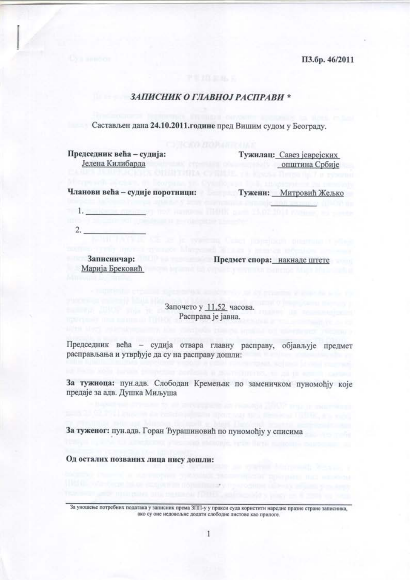ПЗ.бр. 46/2011

# ЗАПИСНИК О ГЛАВНОЈ РАСПРАВИ \*

Састављен дана 24.10.2011. године пред Вишим судом у Београду.

Председник већа - судија: Јелена Килибарда

Тужилац: Савез јеврејских општина Србије

Чланови већа - судије поротници:

Тужени: Митровић Жељко

 $1.$  $2.$ 

Марија Брековић

Записничар: Предмет спора: накнаде штете

Започето у 11.52 часова. Расправа је јавна.

Председник већа - судија отвара главну расправу, објављује предмет расправљања и утврђује да су на расправу дошли:

За тужиоца: пун.адв. Слободан Кремењак по заменичком пуномоћју које предаје за адв. Душка Миљуша

За туженог: пун.адв. Горан Ђурашиновић по пуномођју у списима

Од осталих позваних лица нису дошли:

За уношење потребних података у записник према ЗПП-у у пракси суда користити наредне празне стране записника, ако су оне недовольне додати слободне листове као прилоге.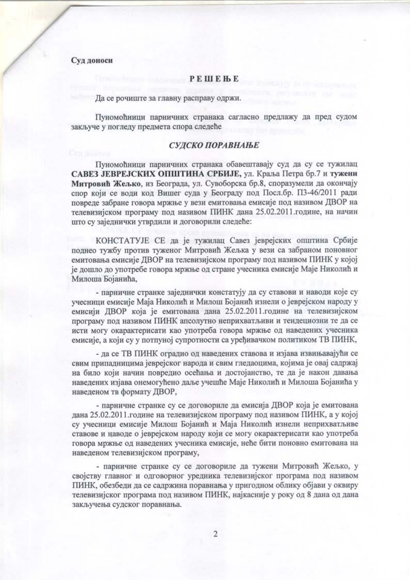# Суд доноси

# **PELLELER**

#### Да се рочиште за главну расправу одржи.

Пуномоћници парничних странака сагласно предлажу да пред судом закључе у погледу предмета спора следеће

# СУДСКО ПОРАВНАЊЕ

Пуномоћници парничних странака обавештавају суд да су се тужилац САВЕЗ ЈЕВРЕЈСКИХ ОПШТИНА СРБИЈЕ, ул. Краља Петра бр.7 и тужени Митровић Жељко, из Београда, ул. Сувоборска бр.8, споразумели да окончају спор који се води код Вишег суда у Београду под Посл.бр. ПЗ-46/2011 ради повреде забране говора мржње у вези емитовања емисије под називом ДВОР на телевизијском програму под називом ПИНК дана 25.02.2011.године, на начин што су заједнички утврдили и договорили следеће:

КОНСТАТУЈЕ СЕ да је тужилац Савез јеврејских општина Србије поднео тужбу против туженог Митровић Жељка у вези са забраном поновног емитовања емисије ДВОР на телевизијском програму под називом ПИНК у којој је дошло до употребе говора мржње од стране учесника емисије Маје Николић и Милоша Бојанића,

- парничне странке заједнички констатују да су ставови и наводи које су учесници емисије Маја Николић и Милош Бојанић изнели о јеврејском народу у емисији ДВОР која је емитована дана 25.02.2011.године на телевизијском програму под називом ПИНК апсолутно неприхватљиви и тендециозни те да се исти могу окарактерисати као употреба говора мржње од наведених учесника емисије, а који су у потпуној супротности са уређивачком политиком ТВ ПИНК,

- да се ТВ ПИНК оградио од наведених ставова и изјава извињавајући се свим припадницима јеврејског народа и свим гледаоцима, којима је овај садржај на било који начин повредио осећања и достојанство, те да је након давања наведених изјава онемогућено даље учешће Маје Николић и Милоша Бојанића у наведеном тв формату ДВОР,

- парничне странке су се договориле да емисија ДВОР која је емитована дана 25.02.2011. године на телевизијском програму под називом ПИНК, а у којој су учесници емисије Милош Бојанић и Маја Николић изнели неприхватљиве ставове и наводе о јеврејском народу који се могу окарактерисати као употреба говора мржње од наведених учесника емисије, неће бити поновно емитована на наведеном телевизијском програму,

- парничне странке су се договориле да тужени Митровић Жељко, у својству главног и одговорног уредника телевизијског програма под називом ПИНК, обезбеди да се садржина поравнања у пригодном облику објави у оквиру телевизијског програма под називом ПИНК, најкасније у року од 8 дана од дана закључења судског поравнања.